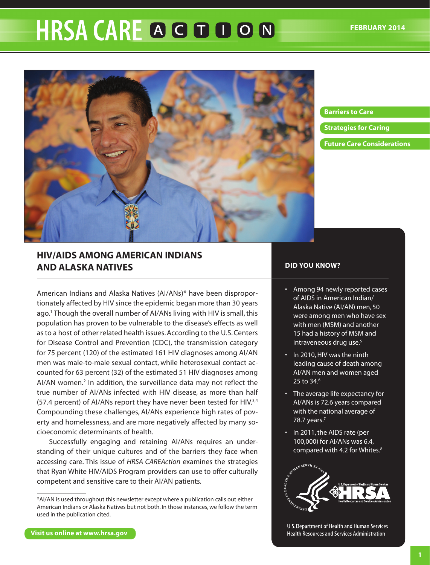# **HRSA CARE A G D D O N**



# **Barriers to Care**

**[Strategies for Caring](#page-3-0)**

**[Future Care Considerations](#page-6-0)**

# **HIV/AIDS among American Indians and Alaska Natives**

American Indians and Alaska Natives (AI/ANs)\* have been disproportionately affected by HIV since the epidemic began more than 30 years ago.1 Though the overall number of AI/ANs living with HIV is small, this population has proven to be vulnerable to the disease's effects as well as to a host of other related health issues. According to the U.S. Centers for Disease Control and Prevention (CDC), the transmission category for 75 percent (120) of the estimated 161 HIV diagnoses among AI/AN men was male-to-male sexual contact, while heterosexual contact accounted for 63 percent (32) of the estimated 51 HIV diagnoses among AI/AN women.<sup>2</sup> In addition, the surveillance data may not reflect the true number of AI/ANs infected with HIV disease, as more than half (57.4 percent) of AI/ANs report they have never been tested for HIV.3,4 Compounding these challenges, AI/ANs experience high rates of poverty and homelessness, and are more negatively affected by many socioeconomic determinants of health.

Successfully engaging and retaining AI/ANs requires an understanding of their unique cultures and of the barriers they face when accessing care. This issue of *HRSA CAREAction* examines the strategies that Ryan White HIV/AIDS Program providers can use to offer culturally competent and sensitive care to their AI/AN patients.

# **DID YOU KNOW?**

- Among 94 newly reported cases of AIDS in American Indian/ Alaska Native (AI/AN) men, 50 were among men who have sex with men (MSM) and another 15 had a history of MSM and intraveneous drug use.<sup>5</sup>
- In 2010, HIV was the ninth leading cause of death among AI/AN men and women aged 25 to 34.<sup>6</sup>
- The average life expectancy for AI/ANs is 72.6 years compared with the national average of 78.7 years.<sup>7</sup>
- In 2011, the AIDS rate (per 100,000) for AI/ANs was 6.4, compared with 4.2 for Whites.<sup>8</sup>



U.S. Department of Health and Human Services Health Resources and Services Administration

<sup>\*</sup>AI/AN is used throughout this newsletter except where a publication calls out either American Indians *or* Alaska Natives but not both. In those instances, we follow the term used in the publication cited.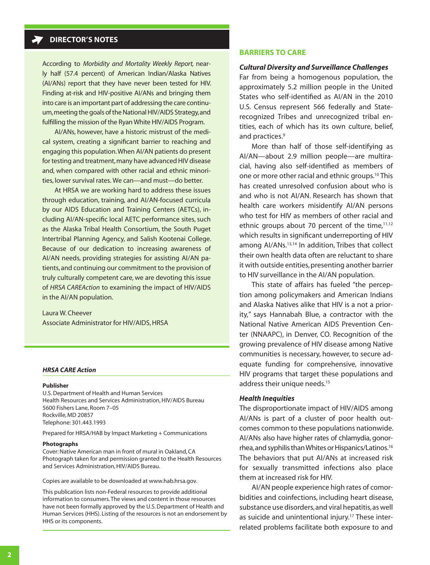# **DIRECTOR'S NOTES**

According to *Morbidity and Mortality Weekly Report,* nearly half (57.4 percent) of American Indian/Alaska Natives (AI/ANs) report that they have never been tested for HIV. Finding at-risk and HIV-positive AI/ANs and bringing them into care is an important part of addressing the care continuum, meeting the goals of the National HIV/AIDS Strategy, and fulfilling the mission of the Ryan White HIV/AIDS Program.

AI/ANs, however, have a historic mistrust of the medical system, creating a significant barrier to reaching and engaging this population. When AI/AN patients do present for testing and treatment, many have advanced HIV disease and, when compared with other racial and ethnic minorities, lower survival rates. We can—and must—do better.

At HRSA we are working hard to address these issues through education, training, and AI/AN-focused curricula by our AIDS Education and Training Centers (AETCs), including AI/AN-specific local AETC performance sites, such as the Alaska Tribal Health Consortium, the South Puget Intertribal Planning Agency, and Salish Kootenai College. Because of our dedication to increasing awareness of AI/AN needs, providing strategies for assisting AI/AN patients, and continuing our commitment to the provision of truly culturally competent care, we are devoting this issue of *HRSA CAREAction* to examining the impact of HIV/AIDS in the AI/AN population.

Laura W. Cheever Associate Administrator for HIV/AIDS, HRSA

#### *HRSA CARE Action*

#### **Publisher**

U.S. Department of Health and Human Services Health Resources and Services Administration, HIV/AIDS Bureau 5600 Fishers Lane, Room 7–05 Rockville, MD 20857 Telephone: 301.443.1993

Prepared for HRSA/HAB by Impact Marketing + Communications

#### **Photographs**

Cover: Native American man in front of mural in Oakland, CA Photograph taken for and permission granted to the Health Resources and Services Administration, HIV/AIDS Bureau.

Copies are available to be downloaded at<www.hab.hrsa.gov>.

This publication lists non-Federal resources to provide additional information to consumers. The views and content in those resources have not been formally approved by the U.S. Department of Health and Human Services (HHS). Listing of the resources is not an endorsement by HHS or its components.

#### **Barriers to Care**

#### *Cultural Diversity and Surveillance Challenges*

Far from being a homogenous population, the approximately 5.2 million people in the United States who self-identified as AI/AN in the 2010 U.S. Census represent 566 federally and Staterecognized Tribes and unrecognized tribal entities, each of which has its own culture, belief, and practices.<sup>9</sup>

More than half of those self-identifying as AI/AN—about 2.9 million people—are multiracial, having also self-identified as members of one or more other racial and ethnic groups.10 This has created unresolved confusion about who is and who is not AI/AN. Research has shown that health care workers misidentify AI/AN persons who test for HIV as members of other racial and ethnic groups about 70 percent of the time, $11,12$ which results in significant underreporting of HIV among AI/ANs.13,14 In addition, Tribes that collect their own health data often are reluctant to share it with outside entities, presenting another barrier to HIV surveillance in the AI/AN population.

This state of affairs has fueled "the perception among policymakers and American Indians and Alaska Natives alike that HIV is a not a priority," says Hannabah Blue, a contractor with the National Native American AIDS Prevention Center (NNAAPC), in Denver, CO. Recognition of the growing prevalence of HIV disease among Native communities is necessary, however, to secure adequate funding for comprehensive, innovative HIV programs that target these populations and address their unique needs.<sup>15</sup>

#### *Health Inequities*

The disproportionate impact of HIV/AIDS among AI/ANs is part of a cluster of poor health outcomes common to these populations nationwide. AI/ANs also have higher rates of chlamydia, gonorrhea, and syphilis than Whites or Hispanics/Latinos.16 The behaviors that put AI/ANs at increased risk for sexually transmitted infections also place them at increased risk for HIV.

AI/AN people experience high rates of comorbidities and coinfections, including heart disease, substance use disorders, and viral hepatitis, as well as suicide and unintentional injury.<sup>17</sup> These interrelated problems facilitate both exposure to and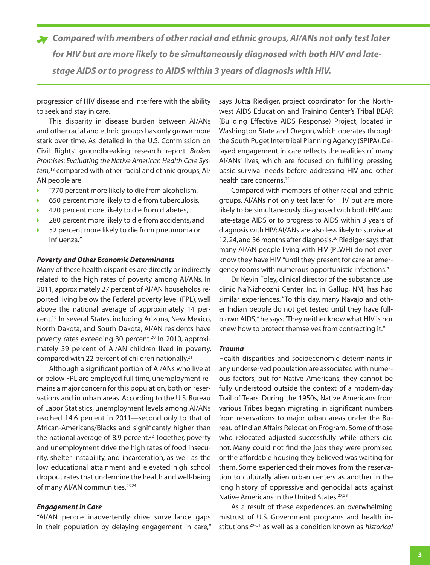*Compared with members of other racial and ethnic groups, AI/ANs not only test later for HIV but are more likely to be simultaneously diagnosed with both HIV and latestage AIDS or to progress to AIDS within 3 years of diagnosis with HIV.*

progression of HIV disease and interfere with the ability to seek and stay in care.

This disparity in disease burden between AI/ANs and other racial and ethnic groups has only grown more stark over time. As detailed in the U.S. Commission on Civil Rights' groundbreaking research report *Broken Promises: Evaluating the Native American Health Care System,*18 compared with other racial and ethnic groups, AI/ AN people are

- "770 percent more likely to die from alcoholism,
- 650 percent more likely to die from tuberculosis, ь
- 420 percent more likely to die from diabetes,
- 280 percent more likely to die from accidents, and
- 52 percent more likely to die from pneumonia or influenza."

#### *Poverty and Other Economic Determinants*

Many of these health disparities are directly or indirectly related to the high rates of poverty among AI/ANs. In 2011, approximately 27 percent of AI/AN households reported living below the Federal poverty level (FPL), well above the national average of approximately 14 percent.19 In several States, including Arizona, New Mexico, North Dakota, and South Dakota, AI/AN residents have poverty rates exceeding 30 percent.<sup>20</sup> In 2010, approximately 39 percent of AI/AN children lived in poverty, compared with 22 percent of children nationally.21

Although a significant portion of AI/ANs who live at or below FPL are employed full time, unemployment remains a major concern for this population, both on reservations and in urban areas. According to the U.S. Bureau of Labor Statistics, unemployment levels among AI/ANs reached 14.6 percent in 2011—second only to that of African-Americans/Blacks and significantly higher than the national average of 8.9 percent.<sup>22</sup> Together, poverty and unemployment drive the high rates of food insecurity, shelter instability, and incarceration, as well as the low educational attainment and elevated high school dropout rates that undermine the health and well-being of many AI/AN communities.<sup>23,24</sup>

#### *Engagement in Care*

"AI/AN people inadvertently drive surveillance gaps in their population by delaying engagement in care,"

says Jutta Riediger, project coordinator for the Northwest AIDS Education and Training Center's Tribal BEAR (Building Effective AIDS Response) Project, located in Washington State and Oregon, which operates through the South Puget Intertribal Planning Agency (SPIPA). Delayed engagement in care reflects the realities of many AI/ANs' lives, which are focused on fulfilling pressing basic survival needs before addressing HIV and other health care concerns.25

Compared with members of other racial and ethnic groups, AI/ANs not only test later for HIV but are more likely to be simultaneously diagnosed with both HIV and late-stage AIDS or to progress to AIDS within 3 years of diagnosis with HIV; AI/ANs are also less likely to survive at 12, 24, and 36 months after diagnosis.26 Riediger says that many AI/AN people living with HIV (PLWH) do not even know they have HIV "until they present for care at emergency rooms with numerous opportunistic infections."

Dr. Kevin Foley, clinical director of the substance use clinic Na'Nizhoozhi Center, Inc. in Gallup, NM, has had similar experiences. "To this day, many Navajo and other Indian people do not get tested until they have fullblown AIDS," he says. "They neither know what HIV is nor knew how to protect themselves from contracting it."

#### *Trauma*

Health disparities and socioeconomic determinants in any underserved population are associated with numerous factors, but for Native Americans, they cannot be fully understood outside the context of a modern-day Trail of Tears. During the 1950s, Native Americans from various Tribes began migrating in significant numbers from reservations to major urban areas under the Bureau of Indian Affairs Relocation Program. Some of those who relocated adjusted successfully while others did not. Many could not find the jobs they were promised or the affordable housing they believed was waiting for them. Some experienced their moves from the reservation to culturally alien urban centers as another in the long history of oppressive and genocidal acts against Native Americans in the United States.<sup>27,28</sup>

As a result of these experiences, an overwhelming mistrust of U.S. Government programs and health institutions,29–31 as well as a condition known as *historical*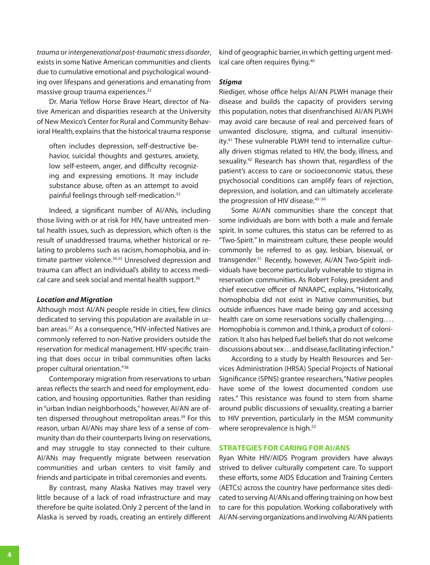<span id="page-3-0"></span>*trauma* or *intergenerational post-traumatic stress disorder*, exists in some Native American communities and clients due to cumulative emotional and psychological wounding over lifespans and generations and emanating from massive group trauma experiences.<sup>32</sup>

Dr. Maria Yellow Horse Brave Heart, director of Native American and disparities research at the University of New Mexico's Center for Rural and Community Behavioral Health, explains that the historical trauma response

often includes depression, self-destructive behavior, suicidal thoughts and gestures, anxiety, low self-esteem, anger, and difficulty recognizing and expressing emotions. It may include substance abuse, often as an attempt to avoid painful feelings through self-medication.33

Indeed, a significant number of AI/ANs, including those living with or at risk for HIV, have untreated mental health issues, such as depression, which often is the result of unaddressed trauma, whether historical or relating to problems such as racism, homophobia, and intimate partner violence.<sup>34,35</sup> Unresolved depression and trauma can affect an individual's ability to access medical care and seek social and mental health support.<sup>36</sup>

#### *Location and Migration*

Although most AI/AN people reside in cities, few clinics dedicated to serving this population are available in urban areas.37 As a consequence, "HIV-infected Natives are commonly referred to non-Native providers outside the reservation for medical management. HIV-specific training that does occur in tribal communities often lacks proper cultural orientation."38

Contemporary migration from reservations to urban areas reflects the search and need for employment, education, and housing opportunities. Rather than residing in "urban Indian neighborhoods," however, AI/AN are often dispersed throughout metropolitan areas.<sup>39</sup> For this reason, urban AI/ANs may share less of a sense of community than do their counterparts living on reservations, and may struggle to stay connected to their culture. AI/ANs may frequently migrate between reservation communities and urban centers to visit family and friends and participate in tribal ceremonies and events.

By contrast, many Alaska Natives may travel very little because of a lack of road infrastructure and may therefore be quite isolated. Only 2 percent of the land in Alaska is served by roads, creating an entirely different

kind of geographic barrier, in which getting urgent medical care often requires flying.<sup>40</sup>

### *Stigma*

Riediger, whose office helps AI/AN PLWH manage their disease and builds the capacity of providers serving this population, notes that disenfranchised AI/AN PLWH may avoid care because of real and perceived fears of unwanted disclosure, stigma, and cultural insensitivity.<sup>41</sup> These vulnerable PLWH tend to internalize culturally driven stigmas related to HIV, the body, illness, and sexuality.<sup>42</sup> Research has shown that, regardless of the patient's access to care or socioeconomic status, these psychosocial conditions can amplify fears of rejection, depression, and isolation, and can ultimately accelerate the progression of HIV disease.<sup>43-50</sup>

Some AI/AN communities share the concept that some individuals are born with both a male and female spirit. In some cultures, this status can be referred to as "Two-Spirit." In mainstream culture, these people would commonly be referred to as gay, lesbian, bisexual, or transgender.51 Recently, however, AI/AN Two-Spirit individuals have become particularly vulnerable to stigma in reservation communities. As Robert Foley, president and chief executive officer of NNAAPC, explains, "Historically, homophobia did not exist in Native communities, but outside influences have made being gay and accessing health care on some reservations socially challenging. . . . Homophobia is common and, I think, a product of colonization. It also has helped fuel beliefs that do not welcome discussions about sex ... and disease, facilitating infection."

According to a study by Health Resources and Services Administration (HRSA) Special Projects of National Significance (SPNS) grantee researchers, "Native peoples have some of the lowest documented condom use rates." This resistance was found to stem from shame around public discussions of sexuality, creating a barrier to HIV prevention, particularly in the MSM community where seroprevalence is high.<sup>52</sup>

# **Strategies for Caring for AI/ANs**

Ryan White HIV/AIDS Program providers have always strived to deliver culturally competent care. To support these efforts, some AIDS Education and Training Centers (AETCs) across the country have performance sites dedicated to serving AI/ANs and offering training on how best to care for this population. Working collaboratively with AI/AN-serving organizations and involving AI/AN patients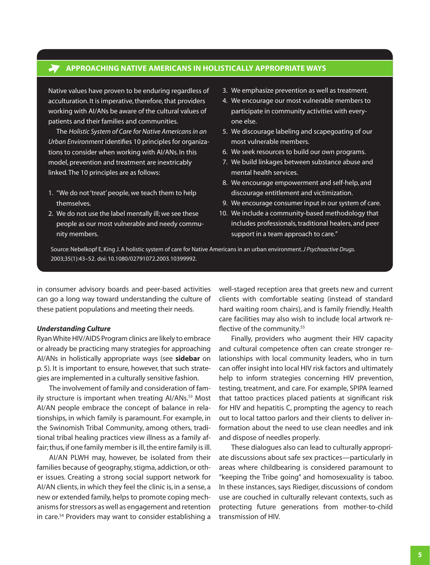# **Approaching Native Americans in Holistically Appropriate Ways**

Native values have proven to be enduring regardless of acculturation. It is imperative, therefore, that providers working with AI/ANs be aware of the cultural values of patients and their families and communities.

The *Holistic System of Care for Native Americans in an Urban Environment* identifies 10 principles for organizations to consider when working with AI/ANs. In this model, prevention and treatment are inextricably linked. The 10 principles are as follows:

- 1. "We do not 'treat' people, we teach them to help themselves.
- 2. We do not use the label mentally ill; we see these people as our most vulnerable and needy community members.
- 3. We emphasize prevention as well as treatment.
- 4. We encourage our most vulnerable members to participate in community activities with everyone else.
- 5. We discourage labeling and scapegoating of our most vulnerable members.
- 6. We seek resources to build our own programs.
- 7. We build linkages between substance abuse and mental health services.
- 8. We encourage empowerment and self-help, and discourage entitlement and victimization.
- 9. We encourage consumer input in our system of care.
- 10. We include a community-based methodology that includes professionals, traditional healers, and peer support in a team approach to care."

Source: Nebelkopf E, King J. A holistic system of care for Native Americans in an urban environment. *J Psychoactive Drugs.*  2003;35(1):43–52. doi: 10.1080/02791072.2003.10399992.

in consumer advisory boards and peer-based activities can go a long way toward understanding the culture of these patient populations and meeting their needs.

#### *Understanding Culture*

 $\rightarrow$ 

Ryan White HIV/AIDS Program clinics are likely to embrace or already be practicing many strategies for approaching AI/ANs in holistically appropriate ways (see **sidebar** on p. 5). It is important to ensure, however, that such strategies are implemented in a culturally sensitive fashion.

The involvement of family and consideration of family structure is important when treating AI/ANs.<sup>53</sup> Most AI/AN people embrace the concept of balance in relationships, in which family is paramount. For example, in the Swinomish Tribal Community, among others, traditional tribal healing practices view illness as a family affair; thus, if one family member is ill, the entire family is ill.

AI/AN PLWH may, however, be isolated from their families because of geography, stigma, addiction, or other issues. Creating a strong social support network for AI/AN clients, in which they feel the clinic is, in a sense, a new or extended family, helps to promote coping mechanisms for stressors as well as engagement and retention in care.54 Providers may want to consider establishing a

well-staged reception area that greets new and current clients with comfortable seating (instead of standard hard waiting room chairs), and is family friendly. Health care facilities may also wish to include local artwork reflective of the community.<sup>55</sup>

Finally, providers who augment their HIV capacity and cultural competence often can create stronger relationships with local community leaders, who in turn can offer insight into local HIV risk factors and ultimately help to inform strategies concerning HIV prevention, testing, treatment, and care. For example, SPIPA learned that tattoo practices placed patients at significant risk for HIV and hepatitis C, prompting the agency to reach out to local tattoo parlors and their clients to deliver information about the need to use clean needles and ink and dispose of needles properly.

These dialogues also can lead to culturally appropriate discussions about safe sex practices—particularly in areas where childbearing is considered paramount to "keeping the Tribe going" and homosexuality is taboo. In these instances, says Riediger, discussions of condom use are couched in culturally relevant contexts, such as protecting future generations from mother-to-child transmission of HIV.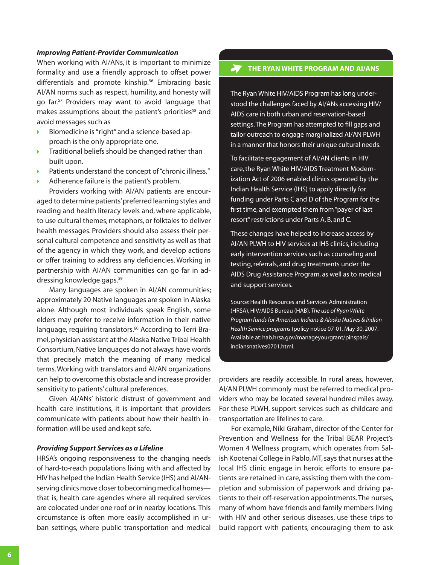# *Improving Patient-Provider Communication*

When working with AI/ANs, it is important to minimize formality and use a friendly approach to offset power differentials and promote kinship.<sup>56</sup> Embracing basic AI/AN norms such as respect, humility, and honesty will go far.57 Providers may want to avoid language that makes assumptions about the patient's priorities<sup>58</sup> and avoid messages such as

- Biomedicine is "right" and a science-based approach is the only appropriate one.
- Traditional beliefs should be changed rather than ь built upon.
- Patients understand the concept of "chronic illness."
- Adherence failure is the patient's problem.

Providers working with AI/AN patients are encouraged to determine patients' preferred learning styles and reading and health literacy levels and, where applicable, to use cultural themes, metaphors, or folktales to deliver health messages. Providers should also assess their personal cultural competence and sensitivity as well as that of the agency in which they work, and develop actions or offer training to address any deficiencies. Working in partnership with AI/AN communities can go far in addressing knowledge gaps.59

Many languages are spoken in AI/AN communities; approximately 20 Native languages are spoken in Alaska alone. Although most individuals speak English, some elders may prefer to receive information in their native language, requiring translators.<sup>60</sup> According to Terri Bramel, physician assistant at the Alaska Native Tribal Health Consortium, Native languages do not always have words that precisely match the meaning of many medical terms. Working with translators and AI/AN organizations can help to overcome this obstacle and increase provider sensitivity to patients' cultural preferences.

Given AI/ANs' historic distrust of government and health care institutions, it is important that providers communicate with patients about how their health information will be used and kept safe.

#### *Providing Support Services as a Lifeline*

HRSA's ongoing responsiveness to the changing needs of hard-to-reach populations living with and affected by HIV has helped the Indian Health Service (IHS) and AI/ANserving clinics move closer to becoming medical homes that is, health care agencies where all required services are colocated under one roof or in nearby locations. This circumstance is often more easily accomplished in urban settings, where public transportation and medical

# **THE RYAN WHITE PROGRAM AND AI/ANS**

The Ryan White HIV/AIDS Program has long understood the challenges faced by AI/ANs accessing HIV/ AIDS care in both urban and reservation-based settings. The Program has attempted to fill gaps and tailor outreach to engage marginalized AI/AN PLWH in a manner that honors their unique cultural needs.

To facilitate engagement of AI/AN clients in HIV care, the Ryan White HIV/AIDS Treatment Modernization Act of 2006 enabled clinics operated by the Indian Health Service (IHS) to apply directly for funding under Parts C and D of the Program for the first time, and exempted them from "payer of last resort" restrictions under Parts A, B, and C.

These changes have helped to increase access by AI/AN PLWH to HIV services at IHS clinics, including early intervention services such as counseling and testing, referrals, and drug treatments under the AIDS Drug Assistance Program, as well as to medical and support services.

Source: Health Resources and Services Administration (HRSA), HIV/AIDS Bureau (HAB). *The use of Ryan White Program funds for American Indians & Alaska Natives & Indian Health Service programs* (policy notice 07-01. May 30, 2007. Available at: hab.hrsa.gov/manageyourgrant/pinspals/ indiansnatives0701.html.

providers are readily accessible. In rural areas, however, AI/AN PLWH commonly must be referred to medical providers who may be located several hundred miles away. For these PLWH, support services such as childcare and transportation are lifelines to care.

For example, Niki Graham, director of the Center for Prevention and Wellness for the Tribal BEAR Project's Women 4 Wellness program, which operates from Salish Kootenai College in Pablo, MT, says that nurses at the local IHS clinic engage in heroic efforts to ensure patients are retained in care, assisting them with the completion and submission of paperwork and driving patients to their off-reservation appointments. The nurses, many of whom have friends and family members living with HIV and other serious diseases, use these trips to build rapport with patients, encouraging them to ask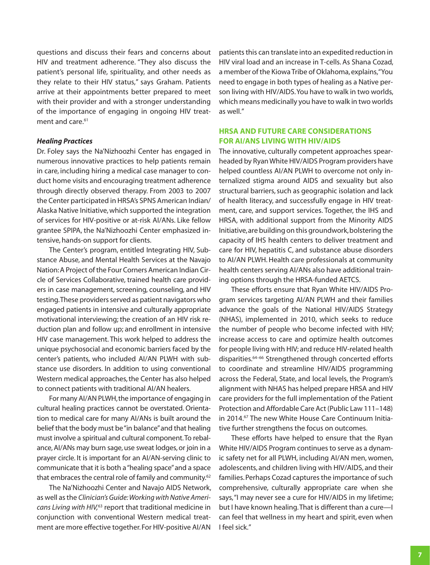<span id="page-6-0"></span>questions and discuss their fears and concerns about HIV and treatment adherence. "They also discuss the patient's personal life, spirituality, and other needs as they relate to their HIV status," says Graham. Patients arrive at their appointments better prepared to meet with their provider and with a stronger understanding of the importance of engaging in ongoing HIV treatment and care.<sup>61</sup>

#### *Healing Practices*

Dr. Foley says the Na'Nizhoozhi Center has engaged in numerous innovative practices to help patients remain in care, including hiring a medical case manager to conduct home visits and encouraging treatment adherence through directly observed therapy. From 2003 to 2007 the Center participated in HRSA's SPNS American Indian/ Alaska Native Initiative, which supported the integration of services for HIV-positive or at-risk AI/ANs. Like fellow grantee SPIPA, the Na'Nizhoozhi Center emphasized intensive, hands-on support for clients.

The Center's program, entitled Integrating HIV, Substance Abuse, and Mental Health Services at the Navajo Nation: A Project of the Four Corners American Indian Circle of Services Collaborative, trained health care providers in case management, screening, counseling, and HIV testing. These providers served as patient navigators who engaged patients in intensive and culturally appropriate motivational interviewing; the creation of an HIV risk reduction plan and follow up; and enrollment in intensive HIV case management. This work helped to address the unique psychosocial and economic barriers faced by the center's patients, who included AI/AN PLWH with substance use disorders. In addition to using conventional Western medical approaches, the Center has also helped to connect patients with traditional AI/AN healers.

For many AI/AN PLWH, the importance of engaging in cultural healing practices cannot be overstated. Orientation to medical care for many AI/ANs is built around the belief that the body must be "in balance" and that healing must involve a spiritual and cultural component. To rebalance, AI/ANs may burn sage, use sweat lodges, or join in a prayer circle. It is important for an AI/AN-serving clinic to communicate that it is both a "healing space" and a space that embraces the central role of family and community.<sup>62</sup>

The Na'Nizhoozhi Center and Navajo AIDS Network, as well as the *Clinician's Guide: Working with Native Americans Living with HIV,*63 report that traditional medicine in conjunction with conventional Western medical treatment are more effective together. For HIV-positive AI/AN

patients this can translate into an expedited reduction in HIV viral load and an increase in T-cells. As Shana Cozad, a member of the Kiowa Tribe of Oklahoma, explains, "You need to engage in both types of healing as a Native person living with HIV/AIDS. You have to walk in two worlds, which means medicinally you have to walk in two worlds as well."

# **HRSA and Future Care Considerations for AI/ANs Living with HIV/AIDS**

The innovative, culturally competent approaches spearheaded by Ryan White HIV/AIDS Program providers have helped countless AI/AN PLWH to overcome not only internalized stigma around AIDS and sexuality but also structural barriers, such as geographic isolation and lack of health literacy, and successfully engage in HIV treatment, care, and support services. Together, the IHS and HRSA, with additional support from the Minority AIDS Initiative, are building on this groundwork, bolstering the capacity of IHS health centers to deliver treatment and care for HIV, hepatitis C, and substance abuse disorders to AI/AN PLWH. Health care professionals at community health centers serving AI/ANs also have additional training options through the HRSA-funded AETCS.

These efforts ensure that Ryan White HIV/AIDS Program services targeting AI/AN PLWH and their families advance the goals of the National HIV/AIDS Strategy (NHAS), implemented in 2010, which seeks to reduce the number of people who become infected with HIV; increase access to care and optimize health outcomes for people living with HIV; and reduce HIV-related health disparities.<sup>64-66</sup> Strengthened through concerted efforts to coordinate and streamline HIV/AIDS programming across the Federal, State, and local levels, the Program's alignment with NHAS has helped prepare HRSA and HIV care providers for the full implementation of the Patient Protection and Affordable Care Act (Public Law 111–148) in 2014.<sup>67</sup> The new White House Care Continuum Initiative further strengthens the focus on outcomes.

These efforts have helped to ensure that the Ryan White HIV/AIDS Program continues to serve as a dynamic safety net for all PLWH, including AI/AN men, women, adolescents, and children living with HIV/AIDS, and their families. Perhaps Cozad captures the importance of such comprehensive, culturally appropriate care when she says, "I may never see a cure for HIV/AIDS in my lifetime; but I have known healing. That is different than a cure—I can feel that wellness in my heart and spirit, even when I feel sick."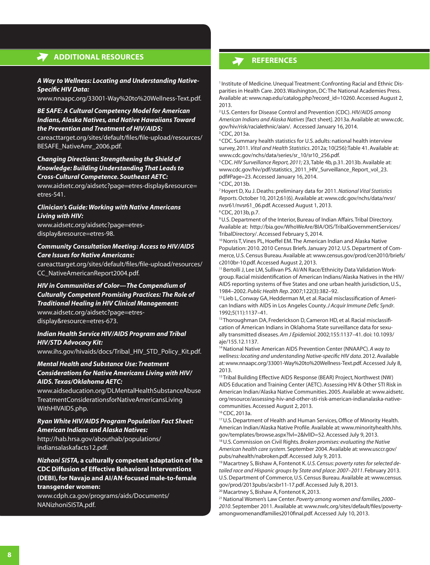# **Additional Resources**

#### *A Way to Wellness: Locating and Understanding Native-Specific HIV Data:*

[www.nnaapc.org/33001-Way%20to%20Wellness-Text.pdf](http://www.nnaapc.org/33001-Way to Wellness-Text.pdf).

# *BE SAFE: A Cultural Competency Model for American Indians, Alaska Natives, and Native Hawaiians Toward the Prevention and Treatment of HIV/AIDS:*

[careacttarget.org/sites/default/files/file-upload/resources/](https://careacttarget.org/sites/default/files/file-upload/resources/BESAFE_NativeAmr_2006.pdf) [BESAFE\\_NativeAmr\\_2006.pdf.](https://careacttarget.org/sites/default/files/file-upload/resources/BESAFE_NativeAmr_2006.pdf)

# *Changing Directions: Strengthening the Shield of Knowledge: Building Understanding That Leads to Cross-Cultural Competence. Southeast AETC:*

[www.aidsetc.org/aidsetc?page=etres-display&resource=](http://www.aidsetc.org/aidsetc?page=etres-display&resource=etres-541) [etres-541.](http://www.aidsetc.org/aidsetc?page=etres-display&resource=etres-541)

#### *Clinician's Guide: Working with Native Americans Living with HIV:*

[www.aidsetc.org/aidsetc?page=etres](http://www.aidsetc.org/aidsetc?page=etres-display&resource=etres-98)[display&resource=etres-98.](http://www.aidsetc.org/aidsetc?page=etres-display&resource=etres-98)

# *Community Consultation Meeting: Access to HIV/AIDS Care Issues for Native Americans:*

[careacttarget.org/sites/default/files/file-upload/resources/](https://careacttarget.org/sites/default/files/file-upload/resources/CC_NativeAmericanReport2004.pdf) [CC\\_NativeAmericanReport2004.pdf.](https://careacttarget.org/sites/default/files/file-upload/resources/CC_NativeAmericanReport2004.pdf)

# *HIV in Communities of Color—The Compendium of Culturally Competent Promising Practices: The Role of Traditional Healing in HIV Clinical Management:*

[www.aidsetc.org/aidsetc?page=etres](http://www.aidsetc.org/aidsetc?page=etres-display&resource=etres-673)[display&resource=etres-673.](http://www.aidsetc.org/aidsetc?page=etres-display&resource=etres-673)

# *Indian Health Service HIV/AIDS Program and Tribal HIV/STD Advocacy Kit:*

[www.ihs.gov/hivaids/docs/Tribal\\_HIV\\_STD\\_Policy\\_Kit.pdf](http://www.ihs.gov/hivaids/docs/Tribal_HIV_STD_Policy_Kit.pdf).

# *Mental Health and Substance Use: Treatment Considerations for Native Americans Living with HIV/ AIDS. Texas/Oklahoma AETC:*

[www.aidseducation.org/DLMentalHealthSubstanceAbuse](http://www.aidseducation.org/DLMentalHealthSubstanceAbuseTreatmentConsiderationsforNativeAmericansLivingWithHIVAIDS.php) [TreatmentConsiderationsforNativeAmericansLiving](http://www.aidseducation.org/DLMentalHealthSubstanceAbuseTreatmentConsiderationsforNativeAmericansLivingWithHIVAIDS.php) [WithHIVAIDS.php](http://www.aidseducation.org/DLMentalHealthSubstanceAbuseTreatmentConsiderationsforNativeAmericansLivingWithHIVAIDS.php).

#### *Ryan White HIV/AIDS Program Population Fact Sheet: American Indians and Alaska Natives:*

[http://hab.hrsa.gov/abouthab/populations/](http://hab.hrsa.gov/abouthab/populations/indiansalaskafacts12.pdf) [indiansalaskafacts12.pdf](http://hab.hrsa.gov/abouthab/populations/indiansalaskafacts12.pdf).

*Nizhoni SISTA,* **a culturally competent adaptation of the CDC Diffusion of Effective Behavioral Interventions (DEBI), for Navajo and AI/AN-focused male-to-female transgender women:**

[www.cdph.ca.gov/programs/aids/Documents/](www.cdph.ca.gov/programs/aids/Documents/NANizhoniSISTA.pdf) [NANizhoniSISTA.pdf](www.cdph.ca.gov/programs/aids/Documents/NANizhoniSISTA.pdf).

# **references**

<sup>1</sup> Institute of Medicine. Unequal Treatment: Confronting Racial and Ethnic Disparities in Health Care. 2003. Washington, DC: The National Academies Press. Available at: [www.nap.edu/catalog.php?record\\_id=10260.](http://www.nap.edu/catalog.php?record_id=10260) Accessed August 2, 2013.

2 U.S. Centers for Disease Control and Prevention (CDC). *HIV/AIDS among American Indians and Alaska Natives* [fact sheet]. 2013a. Available at: [www.cdc.](http://www.cdc.gov/hiv/risk/racialethnic/aian/) [gov/hiv/risk/racialethnic/aian/](http://www.cdc.gov/hiv/risk/racialethnic/aian/). Accessed January 16, 2014. 3 CDC, 2013a.

4 CDC. Summary health statistics for U.S. adults: national health interview survey, 2011. *Vital and Health Statistics*. 2012a; 10(256):Table 41. Available at: [www.cdc.gov/nchs/data/series/sr\\_10/sr10\\_256.pdf.](http://www.cdc.gov/nchs/data/series/sr_10/sr10_256.pdf)

5 CDC. *HIV Surveillance Report, 2011;* 23, Table 4b, p.31. 2013b. Available at: [www.cdc.gov/hiv/pdf/statistics\\_2011\\_HIV\\_Surveillance\\_Report\\_vol\\_23.](http://www.cdc.gov/hiv/pdf/statistics_2011_HIV_Surveillance_Report_vol_23.pdf#Page=23) [pdf#Page=23.](http://www.cdc.gov/hiv/pdf/statistics_2011_HIV_Surveillance_Report_vol_23.pdf#Page=23) Accessed January 16, 2014.

6 CDC, 2013b.

7 Hoyert D, Xu J. Deaths: preliminary data for 2011. *National Vital Statistics Reports.* October 10, 2012;61(6). Available at: [www.cdc.gov/nchs/data/nvsr/](http://www.cdc.gov/nchs/data/nvsr/nvsr61/nvsr61_06.pdf) [nvsr61/nvsr61\\_06.pdf.](http://www.cdc.gov/nchs/data/nvsr/nvsr61/nvsr61_06.pdf) Accessed August 1, 2013.

8 CDC, 2013b, p.7.

9 U.S. Department of the Interior, Bureau of Indian Affairs. Tribal Directory. Available at: [http://bia.gov/WhoWeAre/BIA/OIS/TribalGovernmentServices/](http://bia.gov/WhoWeAre/BIA/OIS/TribalGovernmentServices/TribalDirectory/) [TribalDirectory/](http://bia.gov/WhoWeAre/BIA/OIS/TribalGovernmentServices/TribalDirectory/). Accessed February 5, 2014.<br><sup>10</sup> Norris T, Vines PL, Hoeffel EM. The American Indian and Alaska Native

Population: 2010. 2010 Census Briefs. January 2012. U.S. Department of Commerce, U.S. Census Bureau. Available at: [www.census.gov/prod/cen2010/briefs/](http://www.census.gov/prod/cen2010/briefs/c2010br-10.pdf) [c2010br-10.pdf.](http://www.census.gov/prod/cen2010/briefs/c2010br-10.pdf) Accessed August 2, 2013.

<sup>11</sup> Bertolli J, Lee LM, Sullivan PS. AI/AN Race/Ethnicity Data Validation Workgroup. Racial misidentification of American Indians/Alaska Natives in the HIV/ AIDS reporting systems of five States and one urban health jurisdiction, U.S., 1984–2002. *Public Health Rep*. 2007;122(3):382–92.

<sup>12</sup> Lieb L, Conway GA, Hedderman M, et al. Racial misclassification of American Indians with AIDS in Los Angeles County. *J Acquir Immune Defic Syndr*. 1992;5(11):1137–41.

<sup>13</sup> Thoroughman DA, Frederickson D, Cameron HD, et al. Racial misclassification of American Indians in Oklahoma State surveillance data for sexually transmitted diseases. *Am J Epidemiol*. 2002;155:1137–41. doi: 10.1093/ aje/155.12.1137.

14 National Native American AIDS Prevention Center (NNAAPC). *A way to wellness: locating and understanding Native-specific HIV data*. 2012. Available at: [www.nnaapc.org/33001-Way%20to%20Wellness-Text.pdf](http://www.nnaapc.org/33001-Way to Wellness-Text.pdf). Accessed July 8, 2013.

<sup>15</sup> Tribal Building Effective AIDS Response (BEAR) Project, Northwest (NW) AIDS Education and Training Center (AETC). Assessing HIV & Other STI Risk in American Indian/Alaska Native Communities. 2005. Available at: [www.aidsetc.](www.aidsetc.org/resource/assessing-hiv-and-other-sti-risk-american-indianalaska-native-communities) [org/resource/assessing-hiv-and-other-sti-risk-american-indianalaska-native](www.aidsetc.org/resource/assessing-hiv-and-other-sti-risk-american-indianalaska-native-communities)[communities](www.aidsetc.org/resource/assessing-hiv-and-other-sti-risk-american-indianalaska-native-communities). Accessed August 2, 2013. 16 CDC, 2013a.

<sup>17</sup> U.S. Department of Health and Human Services, Office of Minority Health. American Indian/Alaska Native Profile. Available at: [www.minorityhealth.hhs.](http://www.minorityhealth.hhs.gov/templates/browse.aspx?lvl=2&lvlID=52) [gov/templates/browse.aspx?lvl=2&lvlID=52](http://www.minorityhealth.hhs.gov/templates/browse.aspx?lvl=2&lvlID=52). Accessed July 9, 2013.

18 U.S. Commission on Civil Rights. *Broken promises: evaluating the Native American health care system*. September 2004. Available at: [www.usccr.gov/](http://www.usccr.gov/pubs/nahealth/nabroken.pdf) [pubs/nahealth/nabroken.pdf](http://www.usccr.gov/pubs/nahealth/nabroken.pdf). Accessed July 9, 2013.

19 Macartney S, Bishaw A, Fontenot K. *U.S. Census: poverty rates for selected detailed race and Hispanic groups by State and place: 2007–2011*. February 2013. U.S. Department of Commerce, U.S. Census Bureau. Available at: [www.census.](http://www.census.gov/prod/2013pubs/acsbr11-17.pdf) [gov/prod/2013pubs/acsbr11-17.pdf](http://www.census.gov/prod/2013pubs/acsbr11-17.pdf). Accessed July 8, 2013. <sup>20</sup> Macartney S, Bishaw A, Fontenot K, 2013.

21 National Women's Law Center. *Poverty among women and families, 2000– 2010*. September 2011. Available at: [www.nwlc.org/sites/default/files/poverty](http://www.nwlc.org/sites/default/files/povertyamongwomenandfamilies2010final.pdf)[amongwomenandfamilies2010final.pdf.](http://www.nwlc.org/sites/default/files/povertyamongwomenandfamilies2010final.pdf) Accessed July 10, 2013.